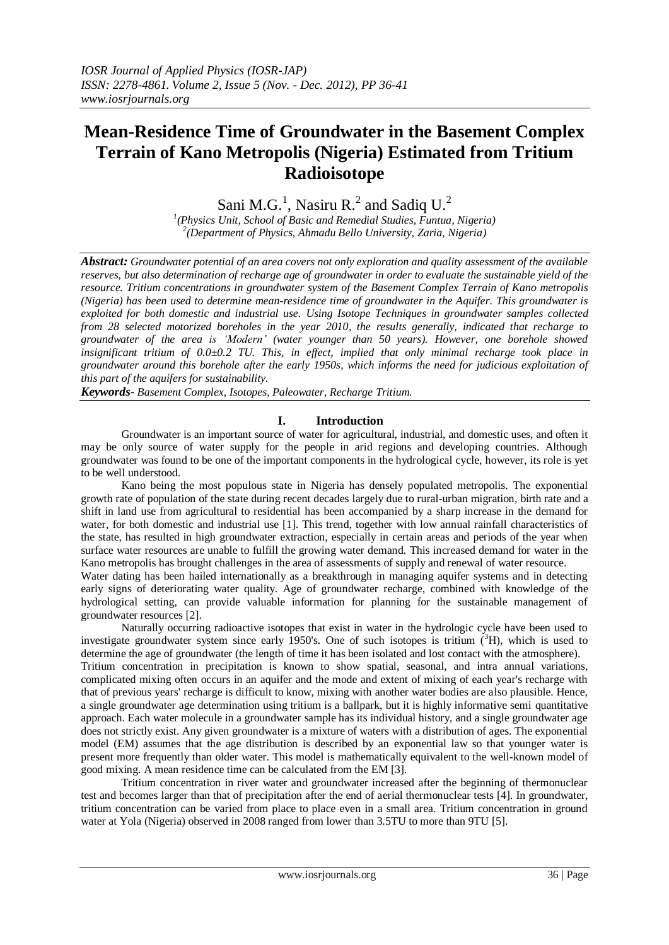# **Mean-Residence Time of Groundwater in the Basement Complex Terrain of Kano Metropolis (Nigeria) Estimated from Tritium Radioisotope**

Sani M.G.<sup>1</sup>, Nasiru R.<sup>2</sup> and Sadiq U.<sup>2</sup>

*1 (Physics Unit, School of Basic and Remedial Studies, Funtua, Nigeria) 2 (Department of Physics, Ahmadu Bello University, Zaria, Nigeria)*

*Abstract: Groundwater potential of an area covers not only exploration and quality assessment of the available reserves, but also determination of recharge age of groundwater in order to evaluate the sustainable yield of the resource. Tritium concentrations in groundwater system of the Basement Complex Terrain of Kano metropolis (Nigeria) has been used to determine mean-residence time of groundwater in the Aquifer. This groundwater is exploited for both domestic and industrial use. Using Isotope Techniques in groundwater samples collected from 28 selected motorized boreholes in the year 2010, the results generally, indicated that recharge to groundwater of the area is 'Modern' (water younger than 50 years). However, one borehole showed insignificant tritium of 0.0±0.2 TU. This, in effect, implied that only minimal recharge took place in groundwater around this borehole after the early 1950s, which informs the need for judicious exploitation of this part of the aquifers for sustainability.*

*Keywords- Basement Complex, Isotopes, Paleowater, Recharge Tritium.*

# **I. Introduction**

Groundwater is an important source of water for agricultural, industrial, and domestic uses, and often it may be only source of water supply for the people in arid regions and developing countries. Although groundwater was found to be one of the important components in the hydrological cycle, however, its role is yet to be well understood.

Kano being the most populous state in Nigeria has densely populated metropolis. The exponential growth rate of population of the state during recent decades largely due to rural-urban migration, birth rate and a shift in land use from agricultural to residential has been accompanied by a sharp increase in the demand for water, for both domestic and industrial use [1]. This trend, together with low annual rainfall characteristics of the state, has resulted in high groundwater extraction, especially in certain areas and periods of the year when surface water resources are unable to fulfill the growing water demand. This increased demand for water in the Kano metropolis has brought challenges in the area of assessments of supply and renewal of water resource.

Water dating has been hailed internationally as a breakthrough in managing aquifer systems and in detecting early signs of deteriorating water quality. Age of groundwater recharge, combined with knowledge of the hydrological setting, can provide valuable information for planning for the sustainable management of groundwater resources [2].

Naturally occurring radioactive isotopes that exist in water in the hydrologic cycle have been used to investigate groundwater system since early 1950's. One of such isotopes is tritium  $({}^{3}H)$ , which is used to determine the age of groundwater (the length of time it has been isolated and lost contact with the atmosphere). Tritium concentration in precipitation is known to show spatial, seasonal, and intra annual variations, complicated mixing often occurs in an aquifer and the mode and extent of mixing of each year's recharge with that of previous years' recharge is difficult to know, mixing with another water bodies are also plausible. Hence, a single groundwater age determination using tritium is a ballpark, but it is highly informative semi quantitative approach. Each water molecule in a groundwater sample has its individual history, and a single groundwater age does not strictly exist. Any given groundwater is a mixture of waters with a distribution of ages. The exponential model (EM) assumes that the age distribution is described by an exponential law so that younger water is present more frequently than older water. This model is mathematically equivalent to the well-known model of good mixing. A mean residence time can be calculated from the EM [3].

Tritium concentration in river water and groundwater increased after the beginning of thermonuclear test and becomes larger than that of precipitation after the end of aerial thermonuclear tests [4]. In groundwater, tritium concentration can be varied from place to place even in a small area. Tritium concentration in ground water at Yola (Nigeria) observed in 2008 ranged from lower than 3.5TU to more than 9TU [5].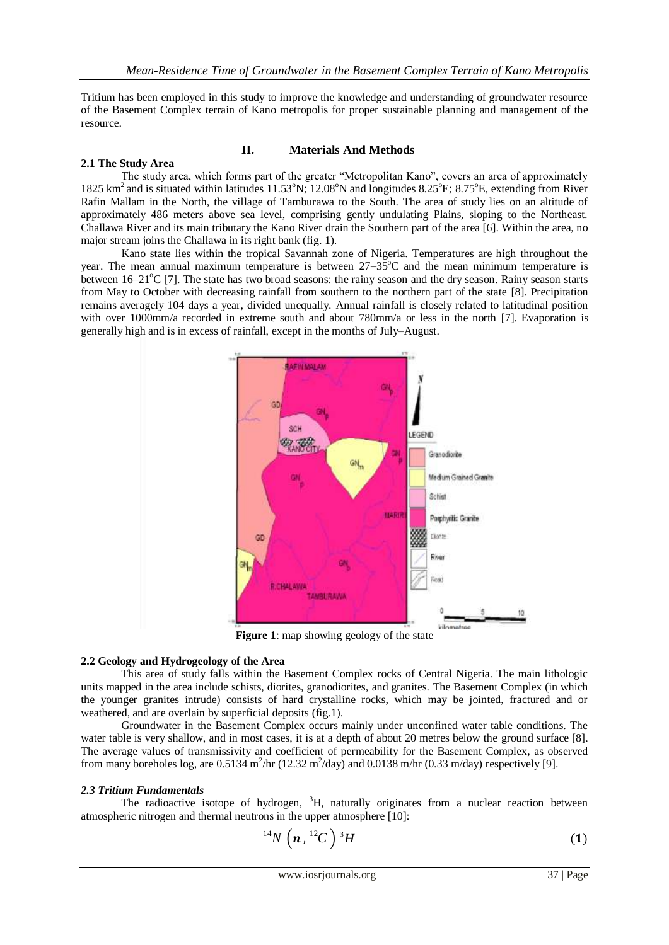Tritium has been employed in this study to improve the knowledge and understanding of groundwater resource of the Basement Complex terrain of Kano metropolis for proper sustainable planning and management of the resource.

# **2.1 The Study Area**

# **II. Materials And Methods**

The study area, which forms part of the greater "Metropolitan Kano", covers an area of approximately 1825 km<sup>2</sup> and is situated within latitudes 11.53°N; 12.08°N and longitudes 8.25°E; 8.75°E, extending from River Rafin Mallam in the North, the village of Tamburawa to the South. The area of study lies on an altitude of approximately 486 meters above sea level, comprising gently undulating Plains, sloping to the Northeast. Challawa River and its main tributary the Kano River drain the Southern part of the area [6]. Within the area, no major stream joins the Challawa in its right bank (fig. 1).

Kano state lies within the tropical Savannah zone of Nigeria. Temperatures are high throughout the year. The mean annual maximum temperature is between  $27-35^{\circ}$ C and the mean minimum temperature is between  $16-21^{\circ}C$  [7]. The state has two broad seasons: the rainy season and the dry season. Rainy season starts from May to October with decreasing rainfall from southern to the northern part of the state [8]. Precipitation remains averagely 104 days a year, divided unequally. Annual rainfall is closely related to latitudinal position with over 1000mm/a recorded in extreme south and about 780mm/a or less in the north [7]. Evaporation is generally high and is in excess of rainfall, except in the months of July–August.



**Figure 1**: map showing geology of the state

## **2.2 Geology and Hydrogeology of the Area**

This area of study falls within the Basement Complex rocks of Central Nigeria. The main lithologic units mapped in the area include schists, diorites, granodiorites, and granites. The Basement Complex (in which the younger granites intrude) consists of hard crystalline rocks, which may be jointed, fractured and or weathered, and are overlain by superficial deposits (fig.1).

Groundwater in the Basement Complex occurs mainly under unconfined water table conditions. The water table is very shallow, and in most cases, it is at a depth of about 20 metres below the ground surface [8]. The average values of transmissivity and coefficient of permeability for the Basement Complex, as observed from many boreholes log, are  $0.5134 \text{ m}^2/\text{hr}$  (12.32 m<sup>2</sup>/day) and  $0.0138 \text{ m/hr}$  (0.33 m/day) respectively [9].

## *2.3 Tritium Fundamentals*

The radioactive isotope of hydrogen,  ${}^{3}H$ , naturally originates from a nuclear reaction between atmospheric nitrogen and thermal neutrons in the upper atmosphere [10]:

$$
^{14}N\left( n, ^{12}C\right) {}^{3}H\tag{1}
$$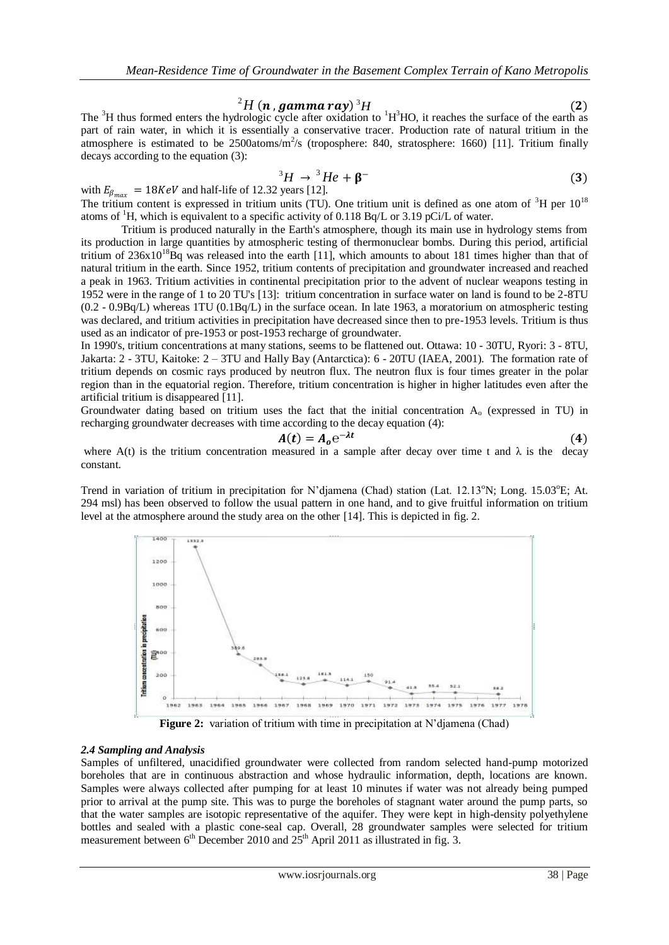${}^2H$  (n, gamma ray)<sup>3</sup>H (2)

The  ${}^{3}H$  thus formed enters the hydrologic cycle after oxidation to  ${}^{1}H^{3}HO$ , it reaches the surface of the earth as part of rain water, in which it is essentially a conservative tracer. Production rate of natural tritium in the atmosphere is estimated to be  $2500$ atoms/m<sup>2</sup>/s (troposphere: 840, stratosphere: 1660) [11]. Tritium finally decays according to the equation (3):

$$
{}^{3}H \rightarrow {}^{3}He + \beta^{-} \tag{3}
$$

with  $E_{\beta_{max}} = 18 \text{KeV}$  and half-life of 12.32 years [12]. The tritium content is expressed in tritium units (TU). One tritium unit is defined as one atom of  ${}^{3}H$  per  $10^{18}$ atoms of  ${}^{1}H$ , which is equivalent to a specific activity of 0.118 Bq/L or 3.19 pCi/L of water.

Tritium is produced naturally in the Earth's atmosphere, though its main use in hydrology stems from its production in large quantities by atmospheric testing of thermonuclear bombs. During this period, artificial tritium of  $236x10^{18}$ Bq was released into the earth [11], which amounts to about 181 times higher than that of natural tritium in the earth. Since 1952, tritium contents of precipitation and groundwater increased and reached a peak in 1963. Tritium activities in continental precipitation prior to the advent of nuclear weapons testing in 1952 were in the range of 1 to 20 TU's [13]: tritium concentration in surface water on land is found to be 2-8TU (0.2 - 0.9Bq/L) whereas 1TU (0.1Bq/L) in the surface ocean. In late 1963, a moratorium on atmospheric testing was declared, and tritium activities in precipitation have decreased since then to pre-1953 levels. Tritium is thus used as an indicator of pre-1953 or post-1953 recharge of groundwater.

In 1990's, tritium concentrations at many stations, seems to be flattened out. Ottawa: 10 - 30TU, Ryori: 3 - 8TU, Jakarta: 2 - 3TU, Kaitoke: 2 – 3TU and Hally Bay (Antarctica): 6 - 20TU (IAEA, 2001). The formation rate of tritium depends on cosmic rays produced by neutron flux. The neutron flux is four times greater in the polar region than in the equatorial region. Therefore, tritium concentration is higher in higher latitudes even after the artificial tritium is disappeared [11].

Groundwater dating based on tritium uses the fact that the initial concentration A<sup>o</sup> (expressed in TU) in recharging groundwater decreases with time according to the decay equation (4):

$$
A(t) = A_0 e^{-\lambda t} \tag{4}
$$

where A(t) is the tritium concentration measured in a sample after decay over time t and  $\lambda$  is the decay constant.

Trend in variation of tritium in precipitation for N'diamena (Chad) station (Lat.  $12.13^{\circ}$ N; Long. 15.03 $^{\circ}$ E; At. 294 msl) has been observed to follow the usual pattern in one hand, and to give fruitful information on tritium level at the atmosphere around the study area on the other [14]. This is depicted in fig. 2.



**Figure 2:** variation of tritium with time in precipitation at N'diamena (Chad)

#### *2.4 Sampling and Analysis*

Samples of unfiltered, unacidified groundwater were collected from random selected hand-pump motorized boreholes that are in continuous abstraction and whose hydraulic information, depth, locations are known. Samples were always collected after pumping for at least 10 minutes if water was not already being pumped prior to arrival at the pump site. This was to purge the boreholes of stagnant water around the pump parts, so that the water samples are isotopic representative of the aquifer. They were kept in high-density polyethylene bottles and sealed with a plastic cone-seal cap. Overall, 28 groundwater samples were selected for tritium measurement between  $6<sup>th</sup>$  December 2010 and  $25<sup>th</sup>$  April 2011 as illustrated in fig. 3.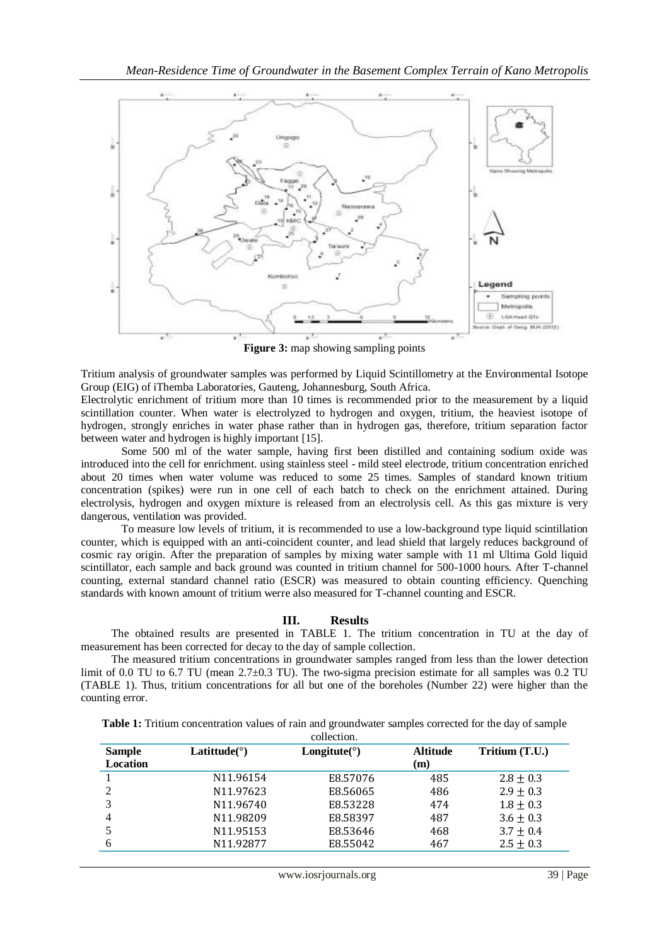

**Figure 3:** map showing sampling points

Tritium analysis of groundwater samples was performed by Liquid Scintillometry at the Environmental Isotope Group (EIG) of iThemba Laboratories, Gauteng, Johannesburg, South Africa.

Electrolytic enrichment of tritium more than 10 times is recommended prior to the measurement by a liquid scintillation counter. When water is electrolyzed to hydrogen and oxygen, tritium, the heaviest isotope of hydrogen, strongly enriches in water phase rather than in hydrogen gas, therefore, tritium separation factor between water and hydrogen is highly important [15].

Some 500 ml of the water sample, having first been distilled and containing sodium oxide was introduced into the cell for enrichment. using stainless steel - mild steel electrode, tritium concentration enriched about 20 times when water volume was reduced to some 25 times. Samples of standard known tritium concentration (spikes) were run in one cell of each batch to check on the enrichment attained. During electrolysis, hydrogen and oxygen mixture is released from an electrolysis cell. As this gas mixture is very dangerous, ventilation was provided.

To measure low levels of tritium, it is recommended to use a low-background type liquid scintillation counter, which is equipped with an anti-coincident counter, and lead shield that largely reduces background of cosmic ray origin. After the preparation of samples by mixing water sample with 11 ml Ultima Gold liquid scintillator, each sample and back ground was counted in tritium channel for 500-1000 hours. After T-channel counting, external standard channel ratio (ESCR) was measured to obtain counting efficiency. Quenching standards with known amount of tritium werre also measured for T-channel counting and ESCR.

## **III. Results**

The obtained results are presented in TABLE 1. The tritium concentration in TU at the day of measurement has been corrected for decay to the day of sample collection.

The measured tritium concentrations in groundwater samples ranged from less than the lower detection limit of 0.0 TU to 6.7 TU (mean 2.7±0.3 TU). The two-sigma precision estimate for all samples was 0.2 TU (TABLE 1). Thus, tritium concentrations for all but one of the boreholes (Number 22) were higher than the counting error.

| <b>Sample</b>   | Latitude( $\degree$ )  | Longitute( $\circ$ ) | <b>Altitude</b> | Tritium (T.U.) |
|-----------------|------------------------|----------------------|-----------------|----------------|
| <b>Location</b> |                        |                      | (m)             |                |
|                 | N <sub>11</sub> ,96154 | E8.57076             | 485             | $2.8 + 0.3$    |
|                 | N11.97623              | E8.56065             | 486             | $2.9 \pm 0.3$  |
| 3               | N11.96740              | E8.53228             | 474             | $1.8 \pm 0.3$  |
| 4               | N11.98209              | E8.58397             | 487             | $3.6 \pm 0.3$  |
|                 | N11.95153              | E8.53646             | 468             | $3.7 \pm 0.4$  |
| 6               | N11.92877              | E8.55042             | 467             | $2.5 \pm 0.3$  |

**Table 1:** Tritium concentration values of rain and groundwater samples corrected for the day of sample collection.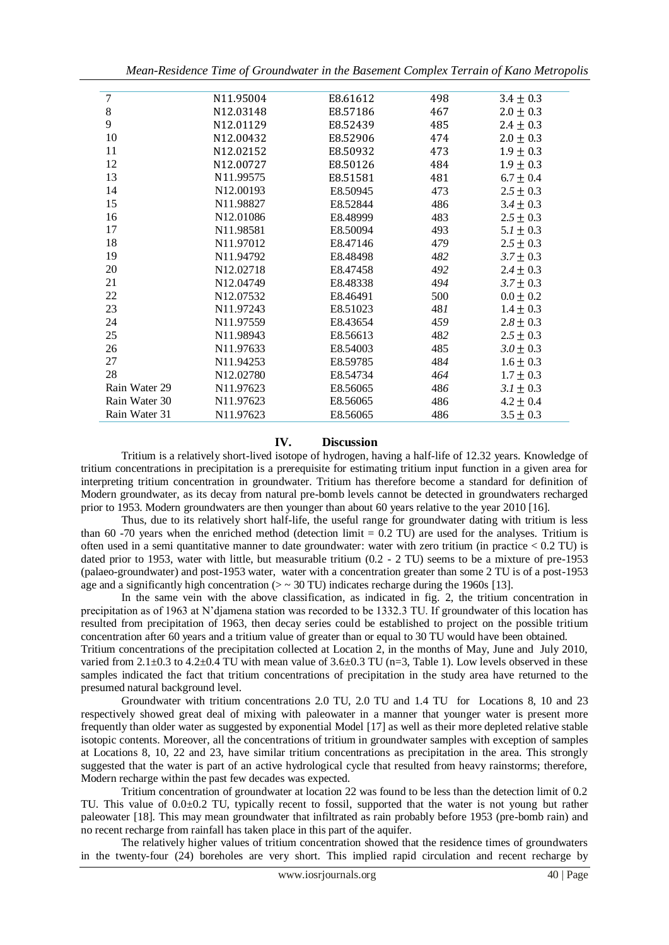*Mean-Residence Time of Groundwater in the Basement Complex Terrain of Kano Metropolis*

| 7             | N11.95004             | E8.61612 | 498 | $3.4 \pm 0.3$ |
|---------------|-----------------------|----------|-----|---------------|
| $\,8\,$       | N12.03148             | E8.57186 | 467 | $2.0 \pm 0.3$ |
| 9             | N12.01129             | E8.52439 | 485 | $2.4 \pm 0.3$ |
| 10            | N12.00432             | E8.52906 | 474 | $2.0 \pm 0.3$ |
| 11            | N12.02152             | E8.50932 | 473 | $1.9 \pm 0.3$ |
| 12            | N12.00727             | E8.50126 | 484 | $1.9 \pm 0.3$ |
| 13            | N11.99575             | E8.51581 | 481 | $6.7 \pm 0.4$ |
| 14            | N12.00193             | E8.50945 | 473 | $2.5 \pm 0.3$ |
| 15            | N11.98827             | E8.52844 | 486 | $3.4 \pm 0.3$ |
| 16            | N12.01086             | E8.48999 | 483 | $2.5 \pm 0.3$ |
| 17            | N11.98581             | E8.50094 | 493 | $5.1 \pm 0.3$ |
| 18            | N11.97012             | E8.47146 | 479 | $2.5 \pm 0.3$ |
| 19            | N11.94792             | E8.48498 | 482 | $3.7 \pm 0.3$ |
| 20            | N <sub>12.02718</sub> | E8.47458 | 492 | $2.4 \pm 0.3$ |
| 21            | N <sub>12.04749</sub> | E8.48338 | 494 | $3.7 \pm 0.3$ |
| 22            | N12.07532             | E8.46491 | 500 | $0.0 \pm 0.2$ |
| 23            | N11.97243             | E8.51023 | 481 | $1.4 \pm 0.3$ |
| 24            | N11.97559             | E8.43654 | 459 | $2.8 \pm 0.3$ |
| 25            | N11.98943             | E8.56613 | 482 | $2.5 \pm 0.3$ |
| 26            | N11.97633             | E8.54003 | 485 | $3.0 \pm 0.3$ |
| 27            | N11.94253             | E8.59785 | 484 | $1.6 \pm 0.3$ |
| 28            | N12.02780             | E8.54734 | 464 | $1.7 \pm 0.3$ |
| Rain Water 29 | N11.97623             | E8.56065 | 486 | $3.1 \pm 0.3$ |
| Rain Water 30 | N11.97623             | E8.56065 | 486 | $4.2 \pm 0.4$ |
| Rain Water 31 | N11.97623             | E8.56065 | 486 | $3.5 \pm 0.3$ |

# **IV. Discussion**

Tritium is a relatively short-lived isotope of hydrogen, having a half-life of 12.32 years. Knowledge of tritium concentrations in precipitation is a prerequisite for estimating tritium input function in a given area for interpreting tritium concentration in groundwater. Tritium has therefore become a standard for definition of Modern groundwater, as its decay from natural pre-bomb levels cannot be detected in groundwaters recharged prior to 1953. Modern groundwaters are then younger than about 60 years relative to the year 2010 [16].

Thus, due to its relatively short half-life, the useful range for groundwater dating with tritium is less than 60 -70 years when the enriched method (detection limit  $= 0.2$  TU) are used for the analyses. Tritium is often used in a semi quantitative manner to date groundwater: water with zero tritium (in practice < 0.2 TU) is dated prior to 1953, water with little, but measurable tritium (0.2 - 2 TU) seems to be a mixture of pre-1953 (palaeo-groundwater) and post-1953 water, water with a concentration greater than some 2 TU is of a post-1953 age and a significantly high concentration ( $>$   $\sim$  30 TU) indicates recharge during the 1960s [13].

In the same vein with the above classification, as indicated in fig. 2, the tritium concentration in precipitation as of 1963 at N'djamena station was recorded to be 1332.3 TU. If groundwater of this location has resulted from precipitation of 1963, then decay series could be established to project on the possible tritium concentration after 60 years and a tritium value of greater than or equal to 30 TU would have been obtained. Tritium concentrations of the precipitation collected at Location 2, in the months of May, June and July 2010, varied from 2.1 $\pm$ 0.3 to 4.2 $\pm$ 0.4 TU with mean value of 3.6 $\pm$ 0.3 TU (n=3, Table 1). Low levels observed in these

samples indicated the fact that tritium concentrations of precipitation in the study area have returned to the presumed natural background level.

Groundwater with tritium concentrations 2.0 TU, 2.0 TU and 1.4 TU for Locations 8, 10 and 23 respectively showed great deal of mixing with paleowater in a manner that younger water is present more frequently than older water as suggested by exponential Model [17] as well as their more depleted relative stable isotopic contents. Moreover, all the concentrations of tritium in groundwater samples with exception of samples at Locations 8, 10, 22 and 23, have similar tritium concentrations as precipitation in the area. This strongly suggested that the water is part of an active hydrological cycle that resulted from heavy rainstorms; therefore, Modern recharge within the past few decades was expected.

Tritium concentration of groundwater at location 22 was found to be less than the detection limit of 0.2 TU. This value of 0.0±0.2 TU, typically recent to fossil, supported that the water is not young but rather paleowater [18]. This may mean groundwater that infiltrated as rain probably before 1953 (pre-bomb rain) and no recent recharge from rainfall has taken place in this part of the aquifer.

The relatively higher values of tritium concentration showed that the residence times of groundwaters in the twenty-four (24) boreholes are very short. This implied rapid circulation and recent recharge by